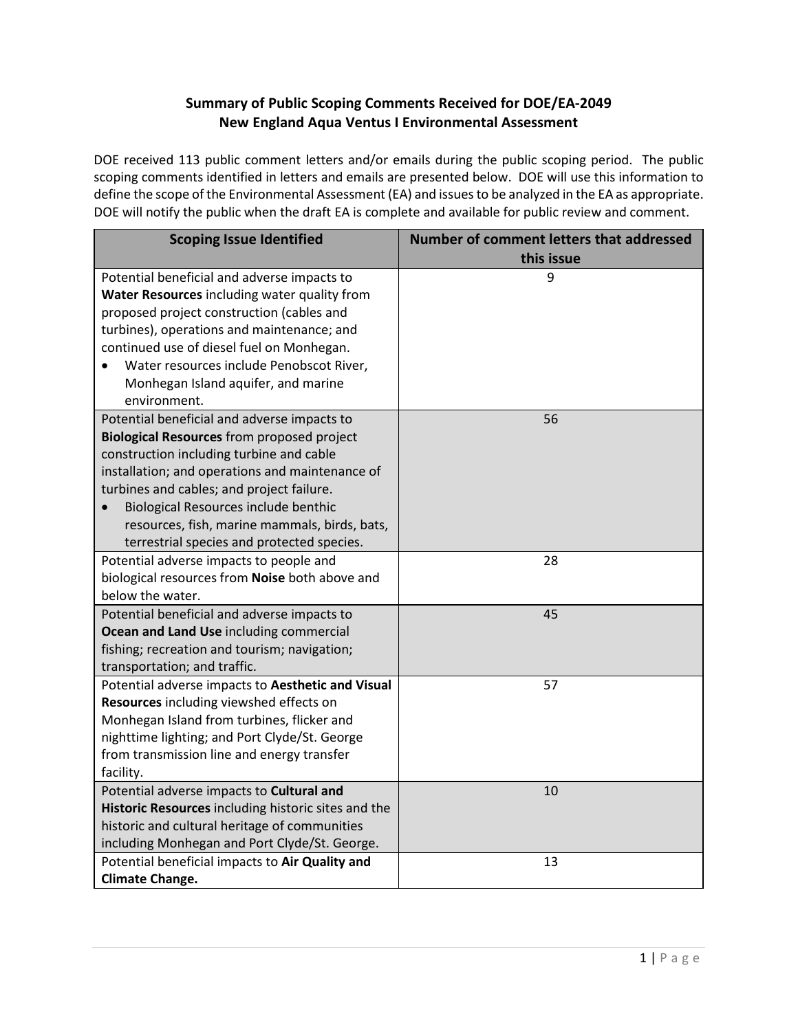## **Summary of Public Scoping Comments Received for DOE/EA-2049 New England Aqua Ventus I Environmental Assessment**

DOE received 113 public comment letters and/or emails during the public scoping period. The public scoping comments identified in letters and emails are presented below. DOE will use this information to define the scope of the Environmental Assessment (EA) and issues to be analyzed in the EA as appropriate. DOE will notify the public when the draft EA is complete and available for public review and comment.

| <b>Scoping Issue Identified</b>                                                                                                                                                                                                                                                                                                                                                     | Number of comment letters that addressed<br>this issue |
|-------------------------------------------------------------------------------------------------------------------------------------------------------------------------------------------------------------------------------------------------------------------------------------------------------------------------------------------------------------------------------------|--------------------------------------------------------|
| Potential beneficial and adverse impacts to<br>Water Resources including water quality from<br>proposed project construction (cables and<br>turbines), operations and maintenance; and<br>continued use of diesel fuel on Monhegan.<br>Water resources include Penobscot River,<br>Monhegan Island aquifer, and marine<br>environment.                                              | 9                                                      |
| Potential beneficial and adverse impacts to<br><b>Biological Resources</b> from proposed project<br>construction including turbine and cable<br>installation; and operations and maintenance of<br>turbines and cables; and project failure.<br>Biological Resources include benthic<br>resources, fish, marine mammals, birds, bats,<br>terrestrial species and protected species. | 56                                                     |
| Potential adverse impacts to people and<br>biological resources from Noise both above and<br>below the water.                                                                                                                                                                                                                                                                       | 28                                                     |
| Potential beneficial and adverse impacts to<br>Ocean and Land Use including commercial<br>fishing; recreation and tourism; navigation;<br>transportation; and traffic.                                                                                                                                                                                                              | 45                                                     |
| Potential adverse impacts to Aesthetic and Visual<br>Resources including viewshed effects on<br>Monhegan Island from turbines, flicker and<br>nighttime lighting; and Port Clyde/St. George<br>from transmission line and energy transfer<br>facility.                                                                                                                              | 57                                                     |
| Potential adverse impacts to Cultural and<br>Historic Resources including historic sites and the<br>historic and cultural heritage of communities<br>including Monhegan and Port Clyde/St. George.                                                                                                                                                                                  | 10                                                     |
| Potential beneficial impacts to Air Quality and<br><b>Climate Change.</b>                                                                                                                                                                                                                                                                                                           | 13                                                     |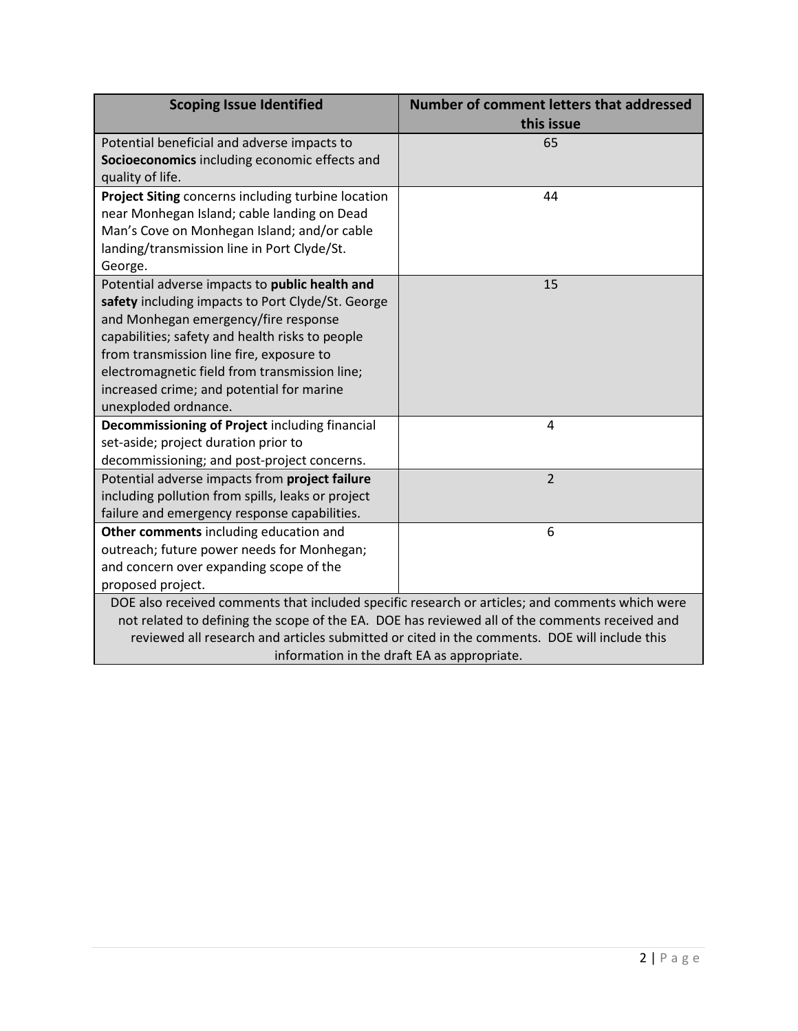| <b>Scoping Issue Identified</b>                                                                 | Number of comment letters that addressed<br>this issue |
|-------------------------------------------------------------------------------------------------|--------------------------------------------------------|
| Potential beneficial and adverse impacts to<br>Socioeconomics including economic effects and    | 65                                                     |
| quality of life.                                                                                |                                                        |
| Project Siting concerns including turbine location                                              | 44                                                     |
| near Monhegan Island; cable landing on Dead                                                     |                                                        |
| Man's Cove on Monhegan Island; and/or cable                                                     |                                                        |
| landing/transmission line in Port Clyde/St.<br>George.                                          |                                                        |
| Potential adverse impacts to public health and                                                  | 15                                                     |
| safety including impacts to Port Clyde/St. George                                               |                                                        |
| and Monhegan emergency/fire response                                                            |                                                        |
| capabilities; safety and health risks to people                                                 |                                                        |
| from transmission line fire, exposure to                                                        |                                                        |
| electromagnetic field from transmission line;                                                   |                                                        |
| increased crime; and potential for marine                                                       |                                                        |
| unexploded ordnance.                                                                            |                                                        |
| Decommissioning of Project including financial                                                  | 4                                                      |
| set-aside; project duration prior to                                                            |                                                        |
| decommissioning; and post-project concerns.                                                     |                                                        |
| Potential adverse impacts from project failure                                                  | $\overline{2}$                                         |
| including pollution from spills, leaks or project                                               |                                                        |
| failure and emergency response capabilities.<br>Other comments including education and          | 6                                                      |
| outreach; future power needs for Monhegan;                                                      |                                                        |
| and concern over expanding scope of the                                                         |                                                        |
| proposed project.                                                                               |                                                        |
| DOE also received comments that included specific research or articles; and comments which were |                                                        |
| not related to defining the scope of the EA. DOE has reviewed all of the comments received and  |                                                        |
| reviewed all research and articles submitted or cited in the comments. DOE will include this    |                                                        |
| information in the draft EA as appropriate.                                                     |                                                        |